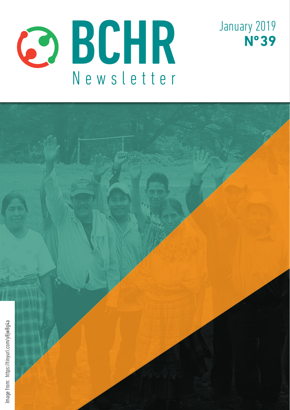



January 2019

**Nº 39**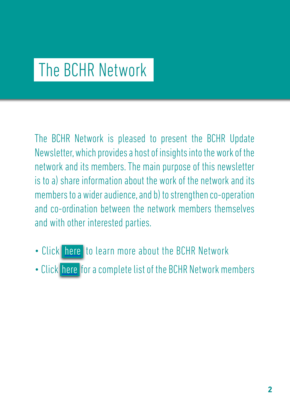# The BCHR Network

The BCHR Network is pleased to present the BCHR Update Newsletter, which provides a host of insights into the work of the network and its members. The main purpose of this newsletter is to a) share information about the work of the network and its members to a wider audience, and b) to strengthen co-operation and co-ordination between the network members themselves and with other interested parties.

- Click [here](http://www.networkbchr.org/) to learn more about the BCHR Network
- Click [here](http://www.networkbchr.org/#!join-the-network/c24vq) for a complete list of the BCHR Network members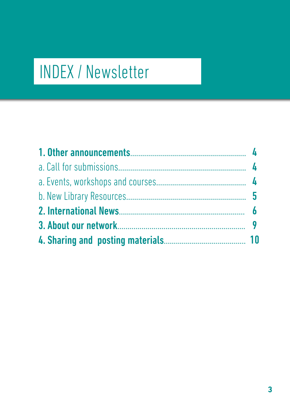# INDEX / Newsletter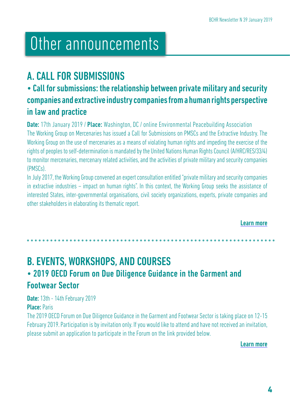# Other announcements

## A. CALL FOR SUBMISSIONS

## • Call for submissions: the relationship between private military and security companies and extractive industry companies from a human rights perspective in law and practice

**Date:** 17th January 2019 / **Place:** Washington, DC / online Environmental Peacebuilding Association The Working Group on Mercenaries has issued a Call for Submissions on PMSCs and the Extractive Industry. The Working Group on the use of mercenaries as a means of violating human rights and impeding the exercise of the rights of peoples to self-determination is mandated by the United Nations Human Rights Council (A/HRC/RES/33/4) to monitor mercenaries, mercenary related activities, and the activities of private military and security companies (PMSCs).

In July 2017, the Working Group convened an expert consultation entitled "private military and security companies in extractive industries – impact on human rights". In this context, the Working Group seeks the assistance of interested States, inter-governmental organisations, civil society organizations, experts, private companies and other stakeholders in elaborating its thematic report.

[Learn more](https://tinyurl.com/y7xy7h7q)

B. EVENTS, WORKSHOPS, AND COURSES • 2019 OECD Forum on Due Diligence Guidance in the Garment and Footwear Sector

Date: 13th - 14th February 2019

Place: Paris

The 2019 OECD Forum on Due Diligence Guidance in the Garment and Footwear Sector is taking place on 12-15 February 2019. Participation is by invitation only. If you would like to attend and have not received an invitation, please submit an application to participate in the Forum on the link provided below.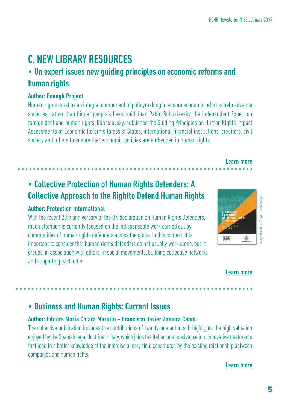## C. NEW LIBRARY RESOURCES

## • Un expert issues new guiding principles on economic reforms and human rights

#### Author: Enough Project

Human rights must be an integral component of policymaking to ensure economic reforms help advance societies, rather than hinder people's lives, said Juan Pablo Bohoslavsky, the Independent Expert on foreign debt and human rights. Bohoslavsky, published the Guiding Principles on Human Rights Impact Assessments of Economic Reforms to assist States, international financial institutions, creditors, civil society and others to ensure that economic policies are embedded in human rights.

## • Collective Protection of Human Rights Defenders: A Collective Approach to the Rightto Defend Human Rights

#### Author: Protection International

With the recent 20th anniversary of the UN declaration on Human Rights Defenders, much attention is currently focused on the indispensable work carried out by communities of human rights defenders across the globe. In this context, it is important to consider that human rights defenders do not usually work alone, but in groups, in association with others, in social movements, building collective networks and supporting each other



[Learn more](https://tinyurl.com/ybuc7ge7
)

#### [Learn more](https://tinyurl.com/y8jw8g4a)

## • Business and Human Rights: Current Issues

#### Author: Editors María Chiara Marullo – Francisco Javier Zamora Cabot.

The collective publication includes the contributions of twenty-one authors. It highlights the high valuation enjoyed by the Spanish legal doctrine in Italy, which joins the Italian one to advance into innovative treatments that lead to a better knowledge of the interdisciplinary field constituted by the existing relationship between companies and human rights.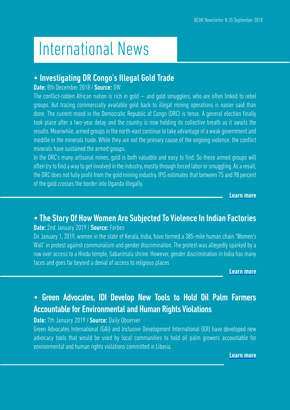# International News

### • Investigating DR Congo's Illegal Gold Trade

#### Date: 8th December 2018 / Source: DW

The conflict-ridden African nation is rich in gold  $-$  and gold smugglers, who are often linked to rebel groups. But tracing commercially available gold back to illegal mining operations is easier said than done. The current mood in the Democratic Republic of Congo (DRC) is tense. A general election finally took place after a two-year delay and the country is now holding its collective breath as it awaits the results. Meanwhile, armed groups in the north-east continue to take advantage of a weak government and meddle in the minerals trade. While they are not the primary cause of the ongoing violence, the conflict minerals have sustained the armed groups.

In the DRC's many artisanal mines, gold is both valuable and easy to find. So these armed groups will often try to find a way to get involved in the industry, mostly through forced labor or smuggling. As a result, the DRC does not fully profit from the gold mining industry. IPIS estimates that between 75 and 98 percent of the gold crosses the border into Uganda illegally.

[Learn more](https://tinyurl.com/y9hfg5ap)

## • The Story Of How Women Are Subjected To Violence In Indian Factories

#### Date: 2nd January 2019 / Source: Forbes

On January 1, 2019, women in the state of Kerala, India, have formed a 385-mile human chain "Women's Wall" in protest against communalism and gender discrimination. The protest was allegedly sparked by a row over access to a Hindu temple, Sabarimala shrine. However, gender discrimination in India has many faces and goes far beyond a denial of access to religious places

[Learn more](https://tinyurl.com/ya9vuxc5)

## • Green Advocates, IDI Develop New Tools to Hold Oil Palm Farmers Accountable for Environmental and Human Rights Violations

#### Date: 7th January 2019 / Source: Daily Observer

Green Advocates International (GAI) and Inclusive Development International (IDI) have developed new advocacy tools that would be used by local communities to hold oil palm growers accountable for environmental and human rights violations committed in Liberia.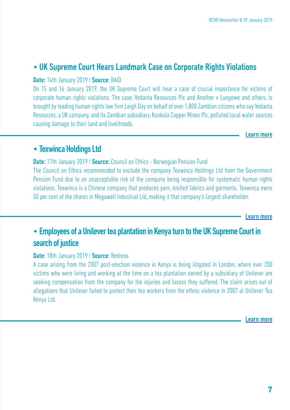### • UK Supreme Court Hears Landmark Case on Corporate Rights Violations

#### Date: 14th January 2019 / Source: RAID

On 15 and 16 January 2019, the UK Supreme Court will hear a case of crucial importance for victims of corporate human rights violations. The case, Vedanta Resources Plc and Another v Lungowe and others, is brought by leading human rights law firm Leigh Day on behalf of over 1,800 Zambian citizens who say Vedanta Resources, a UK company, and its Zambian subsidiary, Konkola Copper Mines Plc, polluted local water sources causing damage to their land and livelihoods.

[Learn more](
https://tinyurl.com/yayx2u9d)

### • Texwinca Holdings Ltd

**Date:** 17th January 2019 / **Source:** Council on Ethics - Norwegian Pension Fund The Council on Ethics recommended to exclude the company Texwinca Holdings Ltd from the Government Pension Fund due to an unacceptable risk of the company being responsible for systematic human rights violations. Texwinca is a Chinese company that produces yarn, knitted fabrics and garments. Texwinca owns 50 per cent of the shares in Megawell Industrial Ltd, making it that company's largest shareholder.

[Learn more](https://etikkradet.no/texwinca-holdings-co-2/
)

## • Employees of a Unilever tea plantation in Kenya turn to the UK Supreme Court in search of justice

#### Date: 18th January 2019 / Source: Redress

A case arising from the 2007 post-election violence in Kenya is being litigated in London, where over 200 victims who were living and working at the time on a tea plantation owned by a subsidiary of Unilever are seeking compensation from the company for the injuries and losses they suffered. The claim arises out of allegations that Unilever failed to protect their tea workers from the ethnic violence in 2007 at Unilever Tea Kenya Ltd.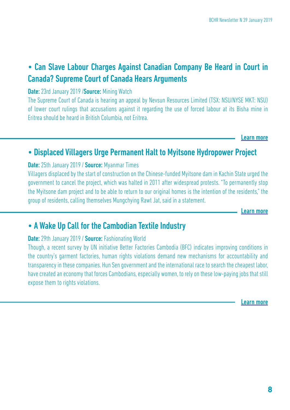## • Can Slave Labour Charges Against Canadian Company Be Heard in Court in Canada? Supreme Court of Canada Hears Arguments

Date: 23rd January 2019 /Source: Mining Watch

The Supreme Court of Canada is hearing an appeal by Nevsun Resources Limited (TSX: NSU/NYSE MKT: NSU) of lower court rulings that accusations against it regarding the use of forced labour at its Bisha mine in Eritrea should be heard in British Columbia, not Eritrea.

[Learn more](https://tinyurl.com/yamkddg3)

### • Displaced Villagers Urge Permanent Halt to Myitsone Hydropower Project

#### Date: 25th January 2019 / Source: Myanmar Times

Villagers displaced by the start of construction on the Chinese-funded Myitsone dam in Kachin State urged the government to cancel the project, which was halted in 2011 after widespread protests. "To permanently stop the Myitsone dam project and to be able to return to our original homes is the intention of the residents," the group of residents, calling themselves Mungchying Rawt Jat, said in a statement.

[Learn more](https://tinyurl.com/y9qnfql9
)

### • A Wake Up Call for the Cambodian Textile Industry

#### Date: 29th January 2019 / Source: Fashionating World

Though, a recent survey by UN initiative Better Factories Cambodia (BFC) indicates improving conditions in the country's garment factories, human rights violations demand new mechanisms for accountability and transparency in these companies. Hun Sen government and the international race to search the cheapest labor, have created an economy that forces Cambodians, especially women, to rely on these low-paying jobs that still expose them to rights violations.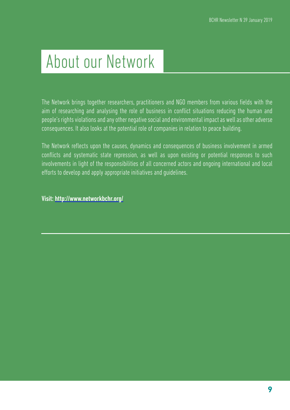# About our Network

The Network brings together researchers, practitioners and NGO members from various fields with the aim of researching and analysing the role of business in conflict situations reducing the human and people's rights violations and any other negative social and environmental impact as well as other adverse consequences. It also looks at the potential role of companies in relation to peace building.

The Network reflects upon the causes, dynamics and consequences of business involvement in armed conflicts and systematic state repression, as well as upon existing or potential responses to such involvements in light of the responsibilities of all concerned actors and ongoing international and local efforts to develop and apply appropriate initiatives and guidelines.

Visit: <http://www.networkbchr.org/>